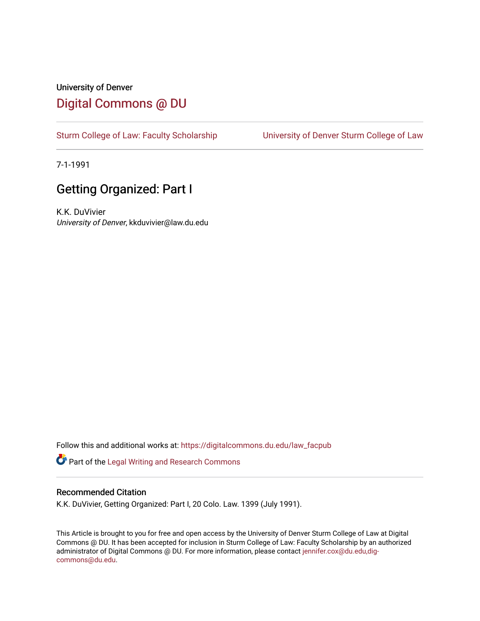## University of Denver [Digital Commons @ DU](https://digitalcommons.du.edu/)

[Sturm College of Law: Faculty Scholarship](https://digitalcommons.du.edu/law_facpub) [University of Denver Sturm College of Law](https://digitalcommons.du.edu/denver_law) 

7-1-1991

# Getting Organized: Part I

K.K. DuVivier University of Denver, kkduvivier@law.du.edu

Follow this and additional works at: [https://digitalcommons.du.edu/law\\_facpub](https://digitalcommons.du.edu/law_facpub?utm_source=digitalcommons.du.edu%2Flaw_facpub%2F334&utm_medium=PDF&utm_campaign=PDFCoverPages) 

Part of the [Legal Writing and Research Commons](http://network.bepress.com/hgg/discipline/614?utm_source=digitalcommons.du.edu%2Flaw_facpub%2F334&utm_medium=PDF&utm_campaign=PDFCoverPages) 

#### Recommended Citation

K.K. DuVivier, Getting Organized: Part I, 20 Colo. Law. 1399 (July 1991).

This Article is brought to you for free and open access by the University of Denver Sturm College of Law at Digital Commons @ DU. It has been accepted for inclusion in Sturm College of Law: Faculty Scholarship by an authorized administrator of Digital Commons @ DU. For more information, please contact [jennifer.cox@du.edu,dig](mailto:jennifer.cox@du.edu,dig-commons@du.edu)[commons@du.edu.](mailto:jennifer.cox@du.edu,dig-commons@du.edu)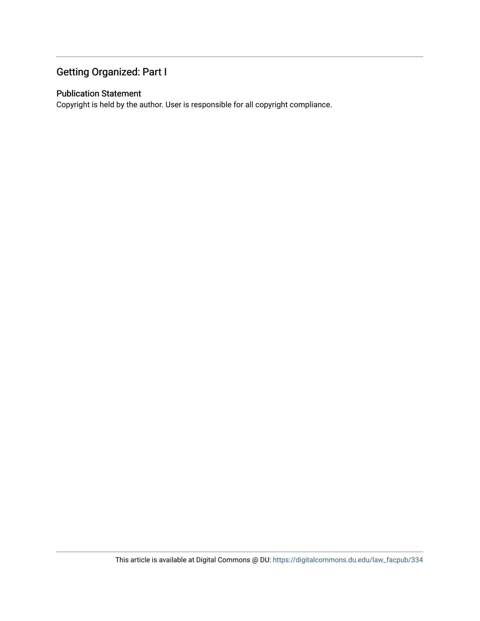### Getting Organized: Part I

#### Publication Statement

Copyright is held by the author. User is responsible for all copyright compliance.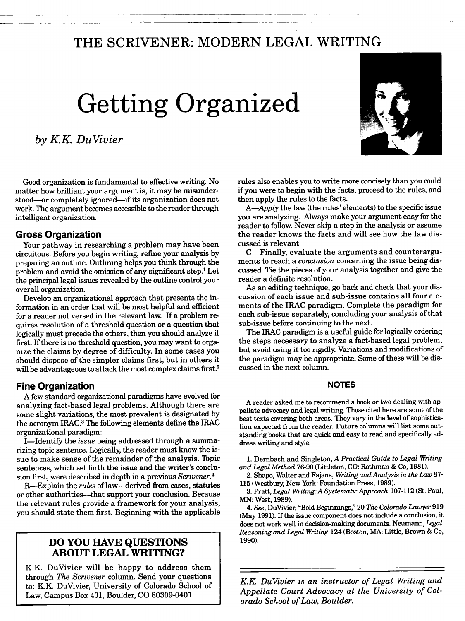# THE SCRIVENER: MODERN **LEGAL** WRITING

# **Getting Organized**

 $b$ *y K.K. DuVivier* 



Good organization is fundamental to effective writing. No matter how brilliant your argument is, it may be misunderstood-or completely ignored-if its organization does not work. The argument becomes accessible to the reader through intelligent organization.

#### Gross Organization

Your pathway in researching a problem may have been circuitous. Before you begin writing, refine your analysis **by** preparing an outline. Outlining helps you think through the problem and avoid the omission of any significant step.' Let the principal legal issues revealed **by** the outline control your overall organization.

Develop an organizational approach that presents the information in an order that will be most helpful and efficient for a reader not versed in the relevant law. If a problem requires resolution of a threshold question or a question that logically must precede the others, then you should analyze it first. If there is no threshold question, you may want to organize the claims **by** degree of difficulty. In some cases you should dispose of the simpler claims first, but in others it will be advantageous to attack the most complex claims first.<sup>2</sup>

#### Fine Organization

**A** few standard organizational paradigms have evolved for analyzing fact-based legal problems. Although there are some slight variations, the most prevalent is designated **by** the acronym IRAC.3 The following elements define the IRAC organizational paradigm:

I-Identify the *issue* being addressed through a summarizing topic sentence. Logically, the reader must know the issue to make sense of the remainder of the analysis. Topic sentences, which set forth the issue and the writer's conclusion first, were described in depth in a previous *Scrivener.4*

R-Explain the *rules* of law--derived from cases, statutes or other authorities-that support your conclusion. Because the relevant rules provide a framework for your analysis, you should state them first. Beginning with the applicable

#### **DO YOU HAVE QUESTIONS ABOUT LEGAL WRITING?**

K.K. DuVivier will be happy to address them through *The Scrivener* column. Send your questions to: K.K. DuVivier, University of Colorado School of Law, Campus Box 401, Boulder, **CO 80309-0401.**

rules also enables you to write more concisely than you could if you were to begin with the facts, proceed to the rules, and then apply the rules to the facts.

*A-Apply* the law (the rules' elements) to the specific issue you are analyzing. Always make your argument easy for the reader to follow. Never skip a step in the analysis or assume the reader knows the facts and will see how the law discussed is relevant.

C-Finally, evaluate the arguments and counterarguments to reach a *conclusion* concerning the issue being discussed. Tie the pieces of your analysis together and give the reader a definite resolution.

As an editing technique, go back and check that your discussion of each issue and sub-issue contains all four elements of the IRAC paradigm. Complete the paradigm for each sub-issue separately, concluding your analysis of that sub-issue before continuing to the next.

The IRAC paradigm is a useful guide for logically ordering the steps necessary to analyze a fact-based legal problem, but avoid using it too rigidly. Variations and modifications of the paradigm may be appropriate. Some of these will be discussed in the next column.

#### **NOTES**

**A** reader asked me to recommend a book or two dealing with appellate advocacy and legal writing. Those cited here are some of the best texts covering both areas. They vary in the level of sophistication expected from the reader. Future columns will list some outstanding books that are quick and easy to read and specifically address writing and style.

**1.** Dernbach and Singleton, *A Practical Guide to Legal Writing and Legal Method* **76-90** (Littleton, **CO:** Rothman **&** Co, **1981).**

2. Shapo, Walter and Fajans, *Writing and Analysis in the Law* **87- 115** (Westbury, New York: Foundation Press, **1989).**

**3.** Pratt, *Legal Writing:A Systematic Approach* **107-112** (St. Paul, **MN:** West, **1989).**

4. *See,* DuVivier, "Bold Beginnings," 20 *The Colorado Lawyer 919* (May **1991).** If the issue component does not include a conclusion, it does not work well in decision-making documents. Neumann, *Legal Reasoning and Legal Writing* 124 (Boston, MA: Little, Brown **&** Co, **1990).**

*K.K. DuVivier is an instructor of Legal Writing and Appellate Court Advocacy at the University of Colorado School of Law, Boulder.*